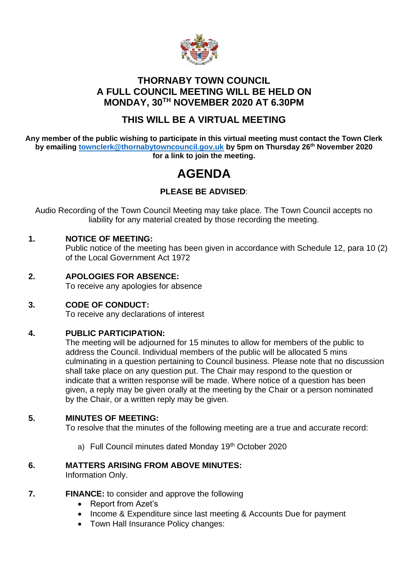

## **THORNABY TOWN COUNCIL A FULL COUNCIL MEETING WILL BE HELD ON MONDAY, 30TH NOVEMBER 2020 AT 6.30PM**

# **THIS WILL BE A VIRTUAL MEETING**

**Any member of the public wishing to participate in this virtual meeting must contact the Town Clerk by emailing [townclerk@thornabytowncouncil.gov.uk](mailto:townclerk@thornabytowncouncil.gov.uk) by 5pm on Thursday 26th November 2020 for a link to join the meeting.** 

# **AGENDA**

## **PLEASE BE ADVISED**:

Audio Recording of the Town Council Meeting may take place. The Town Council accepts no liability for any material created by those recording the meeting.

## **1. NOTICE OF MEETING:**

Public notice of the meeting has been given in accordance with Schedule 12, para 10 (2) of the Local Government Act 1972

- **2. APOLOGIES FOR ABSENCE:** To receive any apologies for absence
- **3. CODE OF CONDUCT:**

To receive any declarations of interest

## **4. PUBLIC PARTICIPATION:**

The meeting will be adjourned for 15 minutes to allow for members of the public to address the Council. Individual members of the public will be allocated 5 mins culminating in a question pertaining to Council business. Please note that no discussion shall take place on any question put. The Chair may respond to the question or indicate that a written response will be made. Where notice of a question has been given, a reply may be given orally at the meeting by the Chair or a person nominated by the Chair, or a written reply may be given.

## **5. MINUTES OF MEETING:**

To resolve that the minutes of the following meeting are a true and accurate record:

a) Full Council minutes dated Monday 19th October 2020

# **6. MATTERS ARISING FROM ABOVE MINUTES:**

Information Only.

- **7. FINANCE:** to consider and approve the following
	- Report from Azet's
	- Income & Expenditure since last meeting & Accounts Due for payment
	- Town Hall Insurance Policy changes: